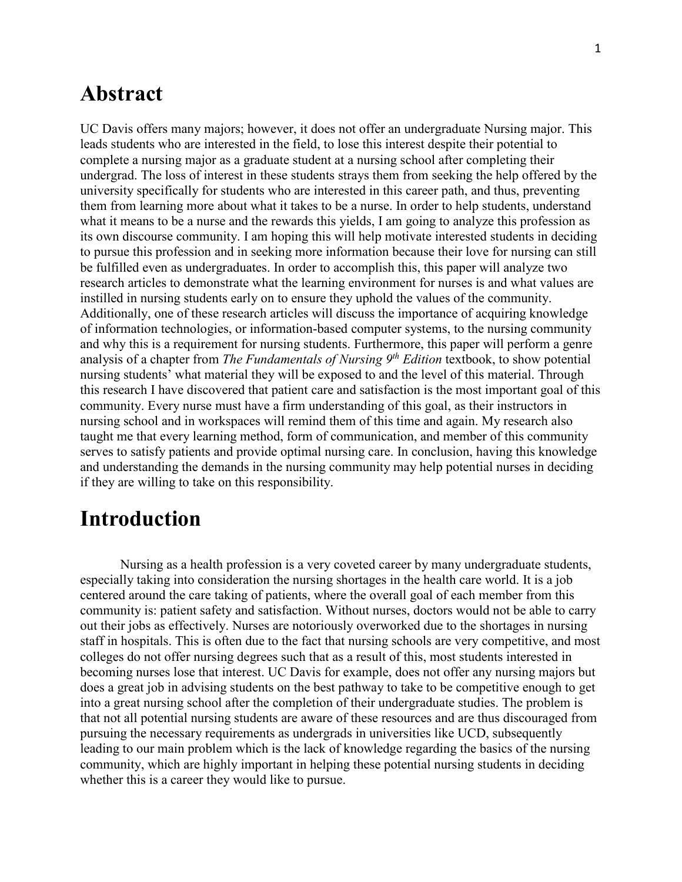## **Abstract**

UC Davis offers many majors; however, it does not offer an undergraduate Nursing major. This leads students who are interested in the field, to lose this interest despite their potential to complete a nursing major as a graduate student at a nursing school after completing their undergrad. The loss of interest in these students strays them from seeking the help offered by the university specifically for students who are interested in this career path, and thus, preventing them from learning more about what it takes to be a nurse. In order to help students, understand what it means to be a nurse and the rewards this yields, I am going to analyze this profession as its own discourse community. I am hoping this will help motivate interested students in deciding to pursue this profession and in seeking more information because their love for nursing can still be fulfilled even as undergraduates. In order to accomplish this, this paper will analyze two research articles to demonstrate what the learning environment for nurses is and what values are instilled in nursing students early on to ensure they uphold the values of the community. Additionally, one of these research articles will discuss the importance of acquiring knowledge of information technologies, or information-based computer systems, to the nursing community and why this is a requirement for nursing students. Furthermore, this paper will perform a genre analysis of a chapter from *The Fundamentals of Nursing 9th Edition* textbook, to show potential nursing students' what material they will be exposed to and the level of this material. Through this research I have discovered that patient care and satisfaction is the most important goal of this community. Every nurse must have a firm understanding of this goal, as their instructors in nursing school and in workspaces will remind them of this time and again. My research also taught me that every learning method, form of communication, and member of this community serves to satisfy patients and provide optimal nursing care. In conclusion, having this knowledge and understanding the demands in the nursing community may help potential nurses in deciding if they are willing to take on this responsibility.

## **Introduction**

Nursing as a health profession is a very coveted career by many undergraduate students, especially taking into consideration the nursing shortages in the health care world. It is a job centered around the care taking of patients, where the overall goal of each member from this community is: patient safety and satisfaction. Without nurses, doctors would not be able to carry out their jobs as effectively. Nurses are notoriously overworked due to the shortages in nursing staff in hospitals. This is often due to the fact that nursing schools are very competitive, and most colleges do not offer nursing degrees such that as a result of this, most students interested in becoming nurses lose that interest. UC Davis for example, does not offer any nursing majors but does a great job in advising students on the best pathway to take to be competitive enough to get into a great nursing school after the completion of their undergraduate studies. The problem is that not all potential nursing students are aware of these resources and are thus discouraged from pursuing the necessary requirements as undergrads in universities like UCD, subsequently leading to our main problem which is the lack of knowledge regarding the basics of the nursing community, which are highly important in helping these potential nursing students in deciding whether this is a career they would like to pursue.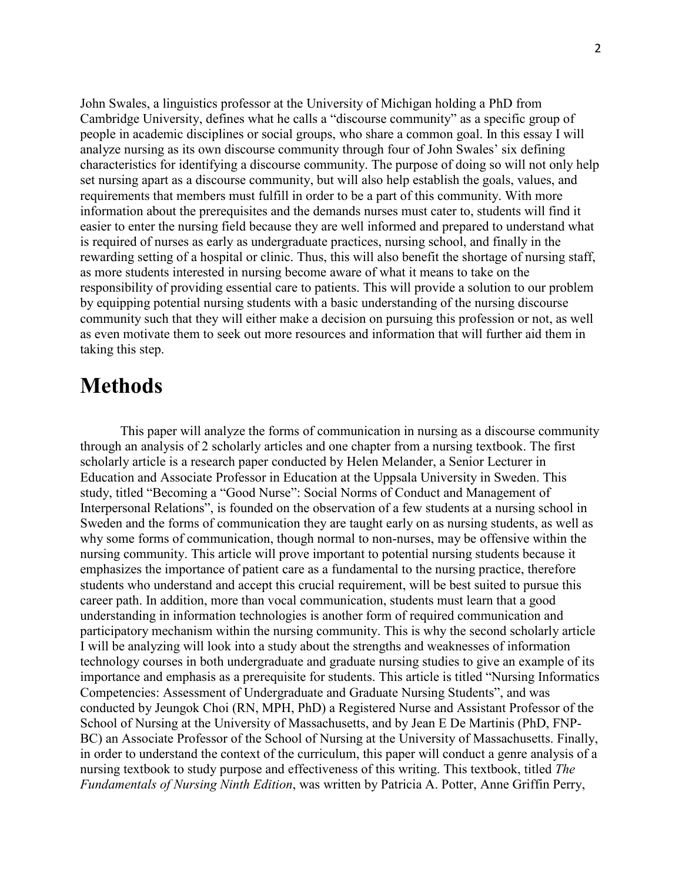John Swales, a linguistics professor at the University of Michigan holding a PhD from Cambridge University, defines what he calls a "discourse community" as a specific group of people in academic disciplines or social groups, who share a common goal. In this essay I will analyze nursing as its own discourse community through four of John Swales' six defining characteristics for identifying a discourse community. The purpose of doing so will not only help set nursing apart as a discourse community, but will also help establish the goals, values, and requirements that members must fulfill in order to be a part of this community. With more information about the prerequisites and the demands nurses must cater to, students will find it easier to enter the nursing field because they are well informed and prepared to understand what is required of nurses as early as undergraduate practices, nursing school, and finally in the rewarding setting of a hospital or clinic. Thus, this will also benefit the shortage of nursing staff, as more students interested in nursing become aware of what it means to take on the responsibility of providing essential care to patients. This will provide a solution to our problem by equipping potential nursing students with a basic understanding of the nursing discourse community such that they will either make a decision on pursuing this profession or not, as well as even motivate them to seek out more resources and information that will further aid them in taking this step.

## **Methods**

This paper will analyze the forms of communication in nursing as a discourse community through an analysis of 2 scholarly articles and one chapter from a nursing textbook. The first scholarly article is a research paper conducted by Helen Melander, a Senior Lecturer in Education and Associate Professor in Education at the Uppsala University in Sweden. This study, titled "Becoming a "Good Nurse": Social Norms of Conduct and Management of Interpersonal Relations", is founded on the observation of a few students at a nursing school in Sweden and the forms of communication they are taught early on as nursing students, as well as why some forms of communication, though normal to non-nurses, may be offensive within the nursing community. This article will prove important to potential nursing students because it emphasizes the importance of patient care as a fundamental to the nursing practice, therefore students who understand and accept this crucial requirement, will be best suited to pursue this career path. In addition, more than vocal communication, students must learn that a good understanding in information technologies is another form of required communication and participatory mechanism within the nursing community. This is why the second scholarly article I will be analyzing will look into a study about the strengths and weaknesses of information technology courses in both undergraduate and graduate nursing studies to give an example of its importance and emphasis as a prerequisite for students. This article is titled "Nursing Informatics Competencies: Assessment of Undergraduate and Graduate Nursing Students", and was conducted by Jeungok Choi (RN, MPH, PhD) a Registered Nurse and Assistant Professor of the School of Nursing at the University of Massachusetts, and by Jean E De Martinis (PhD, FNP-BC) an Associate Professor of the School of Nursing at the University of Massachusetts. Finally, in order to understand the context of the curriculum, this paper will conduct a genre analysis of a nursing textbook to study purpose and effectiveness of this writing. This textbook, titled *The Fundamentals of Nursing Ninth Edition*, was written by Patricia A. Potter, Anne Griffin Perry,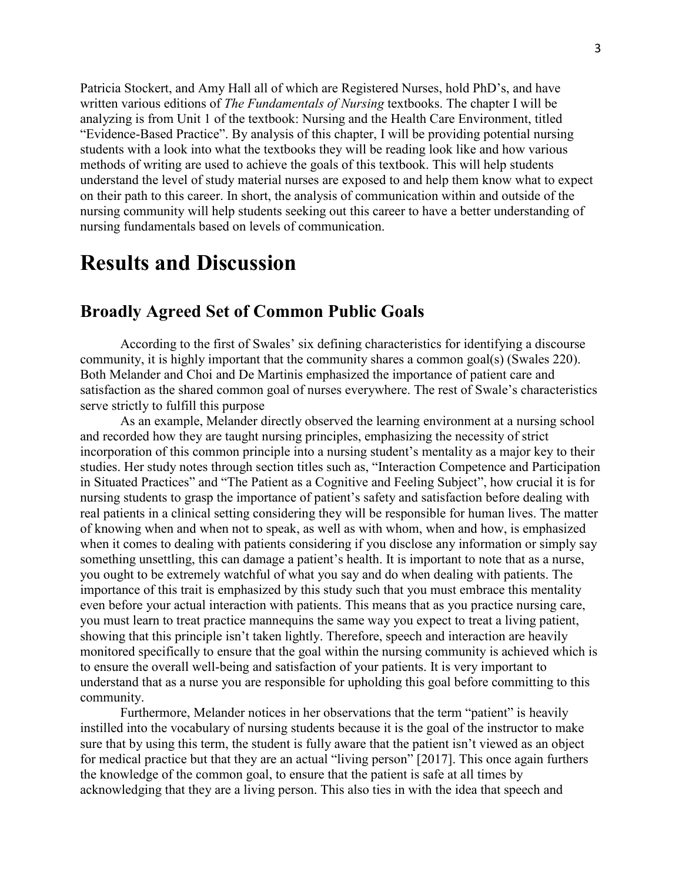Patricia Stockert, and Amy Hall all of which are Registered Nurses, hold PhD's, and have written various editions of *The Fundamentals of Nursing* textbooks. The chapter I will be analyzing is from Unit 1 of the textbook: Nursing and the Health Care Environment, titled "Evidence-Based Practice". By analysis of this chapter, I will be providing potential nursing students with a look into what the textbooks they will be reading look like and how various methods of writing are used to achieve the goals of this textbook. This will help students understand the level of study material nurses are exposed to and help them know what to expect on their path to this career. In short, the analysis of communication within and outside of the nursing community will help students seeking out this career to have a better understanding of nursing fundamentals based on levels of communication.

## **Results and Discussion**

### **Broadly Agreed Set of Common Public Goals**

According to the first of Swales' six defining characteristics for identifying a discourse community, it is highly important that the community shares a common goal(s) (Swales 220). Both Melander and Choi and De Martinis emphasized the importance of patient care and satisfaction as the shared common goal of nurses everywhere. The rest of Swale's characteristics serve strictly to fulfill this purpose

 As an example, Melander directly observed the learning environment at a nursing school and recorded how they are taught nursing principles, emphasizing the necessity of strict incorporation of this common principle into a nursing student's mentality as a major key to their studies. Her study notes through section titles such as, "Interaction Competence and Participation in Situated Practices" and "The Patient as a Cognitive and Feeling Subject", how crucial it is for nursing students to grasp the importance of patient's safety and satisfaction before dealing with real patients in a clinical setting considering they will be responsible for human lives. The matter of knowing when and when not to speak, as well as with whom, when and how, is emphasized when it comes to dealing with patients considering if you disclose any information or simply say something unsettling, this can damage a patient's health. It is important to note that as a nurse, you ought to be extremely watchful of what you say and do when dealing with patients. The importance of this trait is emphasized by this study such that you must embrace this mentality even before your actual interaction with patients. This means that as you practice nursing care, you must learn to treat practice mannequins the same way you expect to treat a living patient, showing that this principle isn't taken lightly. Therefore, speech and interaction are heavily monitored specifically to ensure that the goal within the nursing community is achieved which is to ensure the overall well-being and satisfaction of your patients. It is very important to understand that as a nurse you are responsible for upholding this goal before committing to this community.

Furthermore, Melander notices in her observations that the term "patient" is heavily instilled into the vocabulary of nursing students because it is the goal of the instructor to make sure that by using this term, the student is fully aware that the patient isn't viewed as an object for medical practice but that they are an actual "living person" [2017]. This once again furthers the knowledge of the common goal, to ensure that the patient is safe at all times by acknowledging that they are a living person. This also ties in with the idea that speech and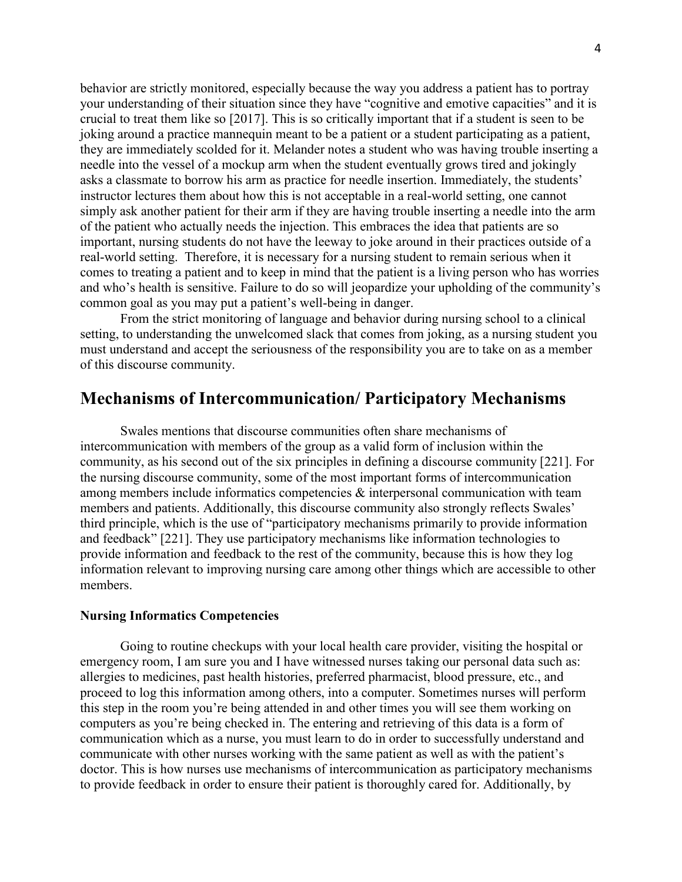behavior are strictly monitored, especially because the way you address a patient has to portray your understanding of their situation since they have "cognitive and emotive capacities" and it is crucial to treat them like so [2017]. This is so critically important that if a student is seen to be joking around a practice mannequin meant to be a patient or a student participating as a patient, they are immediately scolded for it. Melander notes a student who was having trouble inserting a needle into the vessel of a mockup arm when the student eventually grows tired and jokingly asks a classmate to borrow his arm as practice for needle insertion. Immediately, the students' instructor lectures them about how this is not acceptable in a real-world setting, one cannot simply ask another patient for their arm if they are having trouble inserting a needle into the arm of the patient who actually needs the injection. This embraces the idea that patients are so important, nursing students do not have the leeway to joke around in their practices outside of a real-world setting. Therefore, it is necessary for a nursing student to remain serious when it comes to treating a patient and to keep in mind that the patient is a living person who has worries and who's health is sensitive. Failure to do so will jeopardize your upholding of the community's common goal as you may put a patient's well-being in danger.

From the strict monitoring of language and behavior during nursing school to a clinical setting, to understanding the unwelcomed slack that comes from joking, as a nursing student you must understand and accept the seriousness of the responsibility you are to take on as a member of this discourse community.

### **Mechanisms of Intercommunication/ Participatory Mechanisms**

Swales mentions that discourse communities often share mechanisms of intercommunication with members of the group as a valid form of inclusion within the community, as his second out of the six principles in defining a discourse community [221]. For the nursing discourse community, some of the most important forms of intercommunication among members include informatics competencies & interpersonal communication with team members and patients. Additionally, this discourse community also strongly reflects Swales' third principle, which is the use of "participatory mechanisms primarily to provide information and feedback" [221]. They use participatory mechanisms like information technologies to provide information and feedback to the rest of the community, because this is how they log information relevant to improving nursing care among other things which are accessible to other members.

#### **Nursing Informatics Competencies**

Going to routine checkups with your local health care provider, visiting the hospital or emergency room, I am sure you and I have witnessed nurses taking our personal data such as: allergies to medicines, past health histories, preferred pharmacist, blood pressure, etc., and proceed to log this information among others, into a computer. Sometimes nurses will perform this step in the room you're being attended in and other times you will see them working on computers as you're being checked in. The entering and retrieving of this data is a form of communication which as a nurse, you must learn to do in order to successfully understand and communicate with other nurses working with the same patient as well as with the patient's doctor. This is how nurses use mechanisms of intercommunication as participatory mechanisms to provide feedback in order to ensure their patient is thoroughly cared for. Additionally, by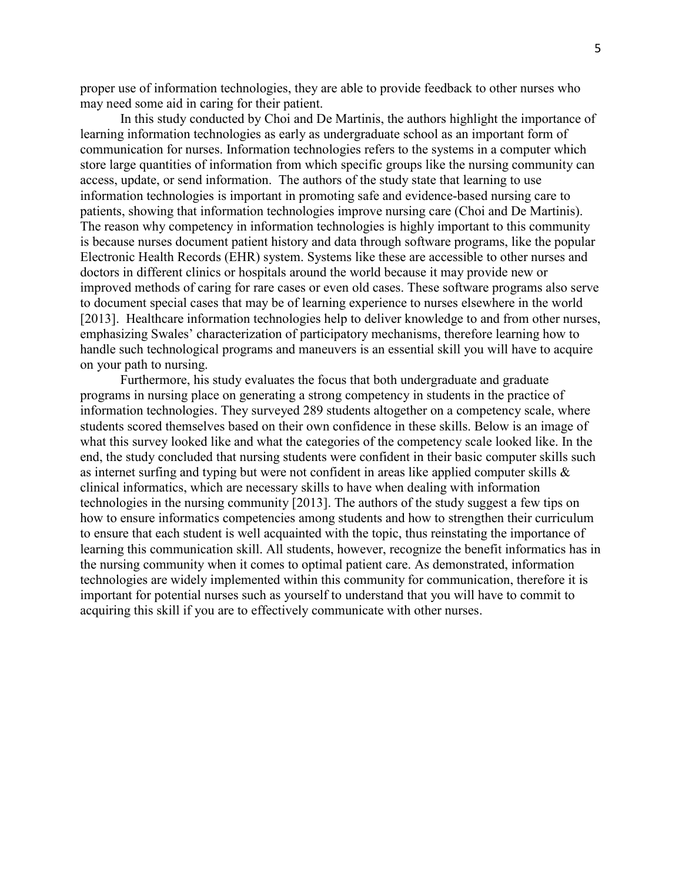proper use of information technologies, they are able to provide feedback to other nurses who may need some aid in caring for their patient.

In this study conducted by Choi and De Martinis, the authors highlight the importance of learning information technologies as early as undergraduate school as an important form of communication for nurses. Information technologies refers to the systems in a computer which store large quantities of information from which specific groups like the nursing community can access, update, or send information. The authors of the study state that learning to use information technologies is important in promoting safe and evidence-based nursing care to patients, showing that information technologies improve nursing care (Choi and De Martinis). The reason why competency in information technologies is highly important to this community is because nurses document patient history and data through software programs, like the popular Electronic Health Records (EHR) system. Systems like these are accessible to other nurses and doctors in different clinics or hospitals around the world because it may provide new or improved methods of caring for rare cases or even old cases. These software programs also serve to document special cases that may be of learning experience to nurses elsewhere in the world [2013]. Healthcare information technologies help to deliver knowledge to and from other nurses, emphasizing Swales' characterization of participatory mechanisms, therefore learning how to handle such technological programs and maneuvers is an essential skill you will have to acquire on your path to nursing.

Furthermore, his study evaluates the focus that both undergraduate and graduate programs in nursing place on generating a strong competency in students in the practice of information technologies. They surveyed 289 students altogether on a competency scale, where students scored themselves based on their own confidence in these skills. Below is an image of what this survey looked like and what the categories of the competency scale looked like. In the end, the study concluded that nursing students were confident in their basic computer skills such as internet surfing and typing but were not confident in areas like applied computer skills & clinical informatics, which are necessary skills to have when dealing with information technologies in the nursing community [2013]. The authors of the study suggest a few tips on how to ensure informatics competencies among students and how to strengthen their curriculum to ensure that each student is well acquainted with the topic, thus reinstating the importance of learning this communication skill. All students, however, recognize the benefit informatics has in the nursing community when it comes to optimal patient care. As demonstrated, information technologies are widely implemented within this community for communication, therefore it is important for potential nurses such as yourself to understand that you will have to commit to acquiring this skill if you are to effectively communicate with other nurses.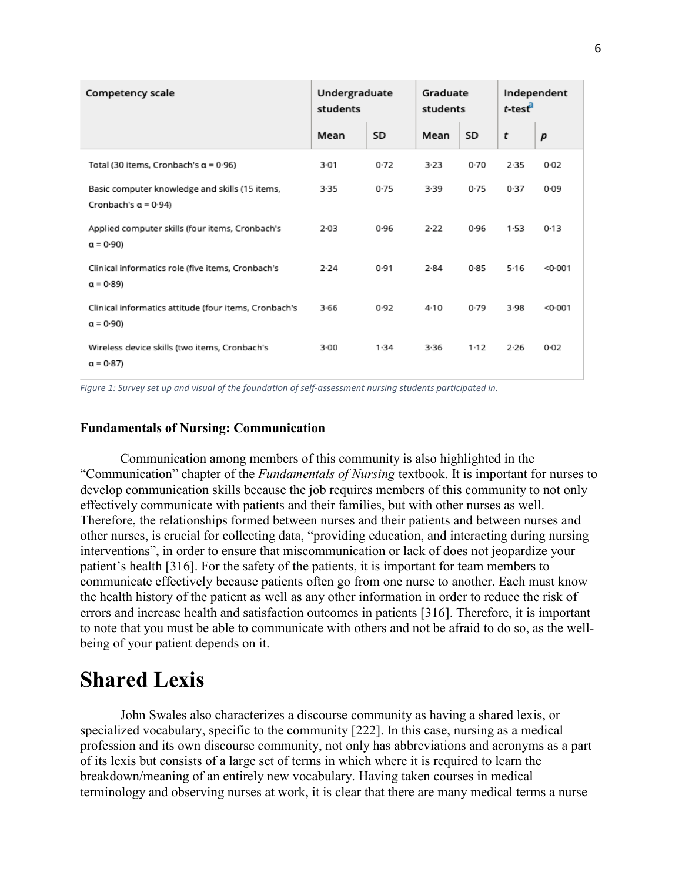| Competency scale                                                              | Undergraduate<br>students |      | Graduate<br>students |        | Independent<br>$t$ -test $\overline{t}$ |         |
|-------------------------------------------------------------------------------|---------------------------|------|----------------------|--------|-----------------------------------------|---------|
|                                                                               | Mean                      | SD   | Mean                 | SD     | t                                       | p       |
| Total (30 items, Cronbach's $\alpha$ = 0.96)                                  | 3.01                      | 0.72 | 3.23                 | 0.70   | 2.35                                    | 0.02    |
| Basic computer knowledge and skills (15 items,<br>Cronbach's $\alpha$ = 0.94) | $3-35$                    | 0.75 | 3.39                 | 0.75   | 0.37                                    | 0.09    |
| Applied computer skills (four items, Cronbach's<br>$a = 0.90$                 | $2 - 03$                  | 0.96 | 2.22                 | 0.96   | 1.53                                    | 0.13    |
| Clinical informatics role (five items, Cronbach's<br>$a = 0.89$               | 2.24                      | 0.91 | 2.84                 | 0.85   | 5.16                                    | < 0.001 |
| Clinical informatics attitude (four items, Cronbach's<br>$a = 0.90$           | 3.66                      | 0.92 | 4.10                 | 0.79   | 3.98                                    | < 0.001 |
| Wireless device skills (two items, Cronbach's<br>$a = 0.87$                   | $3-00$                    | 1.34 | 3.36                 | $1-12$ | 2.26                                    | 0.02    |

*Figure 1: Survey set up and visual of the foundation of self-assessment nursing students participated in.*

#### **Fundamentals of Nursing: Communication**

Communication among members of this community is also highlighted in the "Communication" chapter of the *Fundamentals of Nursing* textbook. It is important for nurses to develop communication skills because the job requires members of this community to not only effectively communicate with patients and their families, but with other nurses as well. Therefore, the relationships formed between nurses and their patients and between nurses and other nurses, is crucial for collecting data, "providing education, and interacting during nursing interventions", in order to ensure that miscommunication or lack of does not jeopardize your patient's health [316]. For the safety of the patients, it is important for team members to communicate effectively because patients often go from one nurse to another. Each must know the health history of the patient as well as any other information in order to reduce the risk of errors and increase health and satisfaction outcomes in patients [316]. Therefore, it is important to note that you must be able to communicate with others and not be afraid to do so, as the wellbeing of your patient depends on it.

## **Shared Lexis**

John Swales also characterizes a discourse community as having a shared lexis, or specialized vocabulary, specific to the community [222]. In this case, nursing as a medical profession and its own discourse community, not only has abbreviations and acronyms as a part of its lexis but consists of a large set of terms in which where it is required to learn the breakdown/meaning of an entirely new vocabulary. Having taken courses in medical terminology and observing nurses at work, it is clear that there are many medical terms a nurse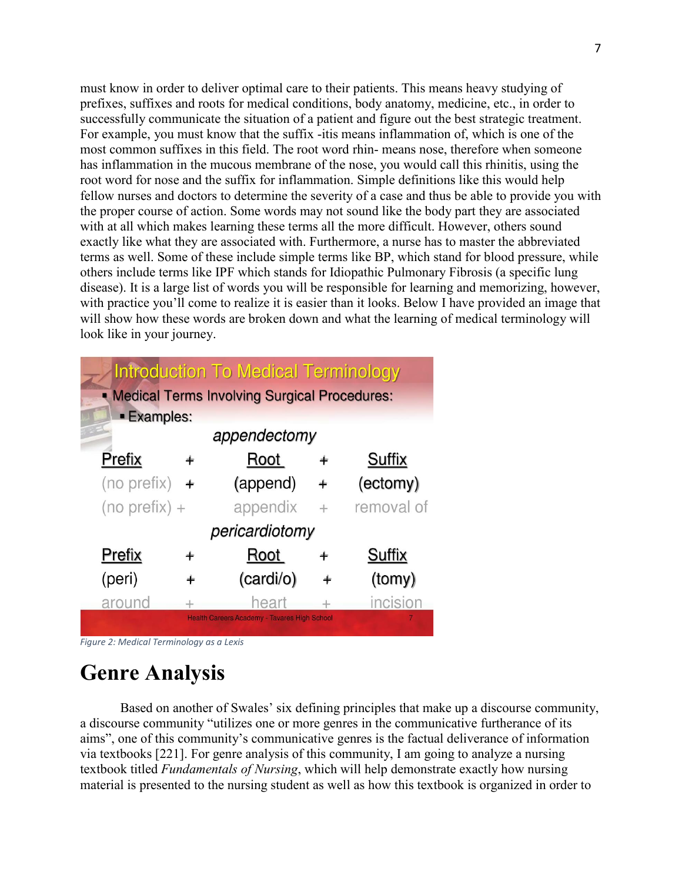must know in order to deliver optimal care to their patients. This means heavy studying of prefixes, suffixes and roots for medical conditions, body anatomy, medicine, etc., in order to successfully communicate the situation of a patient and figure out the best strategic treatment. For example, you must know that the suffix -itis means inflammation of, which is one of the most common suffixes in this field. The root word rhin- means nose, therefore when someone has inflammation in the mucous membrane of the nose, you would call this rhinitis, using the root word for nose and the suffix for inflammation. Simple definitions like this would help fellow nurses and doctors to determine the severity of a case and thus be able to provide you with the proper course of action. Some words may not sound like the body part they are associated with at all which makes learning these terms all the more difficult. However, others sound exactly like what they are associated with. Furthermore, a nurse has to master the abbreviated terms as well. Some of these include simple terms like BP, which stand for blood pressure, while others include terms like IPF which stands for Idiopathic Pulmonary Fibrosis (a specific lung disease). It is a large list of words you will be responsible for learning and memorizing, however, with practice you'll come to realize it is easier than it looks. Below I have provided an image that will show how these words are broken down and what the learning of medical terminology will look like in your journey.

|                                                |     | <b>Introduction To Medical Terminology</b>          |   |                |  |  |  |  |
|------------------------------------------------|-----|-----------------------------------------------------|---|----------------|--|--|--|--|
| • Medical Terms Involving Surgical Procedures: |     |                                                     |   |                |  |  |  |  |
| <b>Examples:</b>                               |     |                                                     |   |                |  |  |  |  |
| appendectomy                                   |     |                                                     |   |                |  |  |  |  |
| Prefix                                         |     | Root                                                | ÷ | Suffix         |  |  |  |  |
| (no prefix)                                    | $+$ | (append)                                            |   | (ectomy)       |  |  |  |  |
| $(no prefix) +$                                |     | appendix                                            |   | removal of     |  |  |  |  |
|                                                |     | pericardiotomy                                      |   |                |  |  |  |  |
| Prefix                                         |     | Root                                                |   | Suffix         |  |  |  |  |
| (peri)                                         |     | (cardi/o)                                           |   | (tomy)         |  |  |  |  |
| around                                         |     | heart                                               |   | incision       |  |  |  |  |
|                                                |     | <b>Health Careers Academy - Tavares High School</b> |   | $\overline{7}$ |  |  |  |  |

*Figure 2: Medical Terminology as a Lexis*

# **Genre Analysis**

Based on another of Swales' six defining principles that make up a discourse community, a discourse community "utilizes one or more genres in the communicative furtherance of its aims", one of this community's communicative genres is the factual deliverance of information via textbooks [221]. For genre analysis of this community, I am going to analyze a nursing textbook titled *Fundamentals of Nursing*, which will help demonstrate exactly how nursing material is presented to the nursing student as well as how this textbook is organized in order to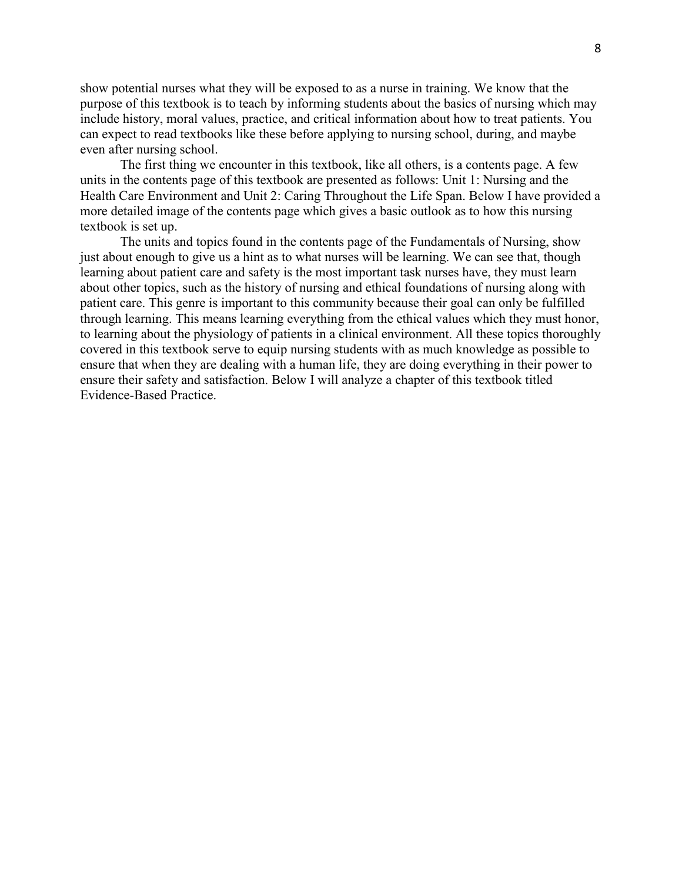show potential nurses what they will be exposed to as a nurse in training. We know that the purpose of this textbook is to teach by informing students about the basics of nursing which may include history, moral values, practice, and critical information about how to treat patients. You can expect to read textbooks like these before applying to nursing school, during, and maybe even after nursing school.

The first thing we encounter in this textbook, like all others, is a contents page. A few units in the contents page of this textbook are presented as follows: Unit 1: Nursing and the Health Care Environment and Unit 2: Caring Throughout the Life Span. Below I have provided a more detailed image of the contents page which gives a basic outlook as to how this nursing textbook is set up.

The units and topics found in the contents page of the Fundamentals of Nursing, show just about enough to give us a hint as to what nurses will be learning. We can see that, though learning about patient care and safety is the most important task nurses have, they must learn about other topics, such as the history of nursing and ethical foundations of nursing along with patient care. This genre is important to this community because their goal can only be fulfilled through learning. This means learning everything from the ethical values which they must honor, to learning about the physiology of patients in a clinical environment. All these topics thoroughly covered in this textbook serve to equip nursing students with as much knowledge as possible to ensure that when they are dealing with a human life, they are doing everything in their power to ensure their safety and satisfaction. Below I will analyze a chapter of this textbook titled Evidence-Based Practice.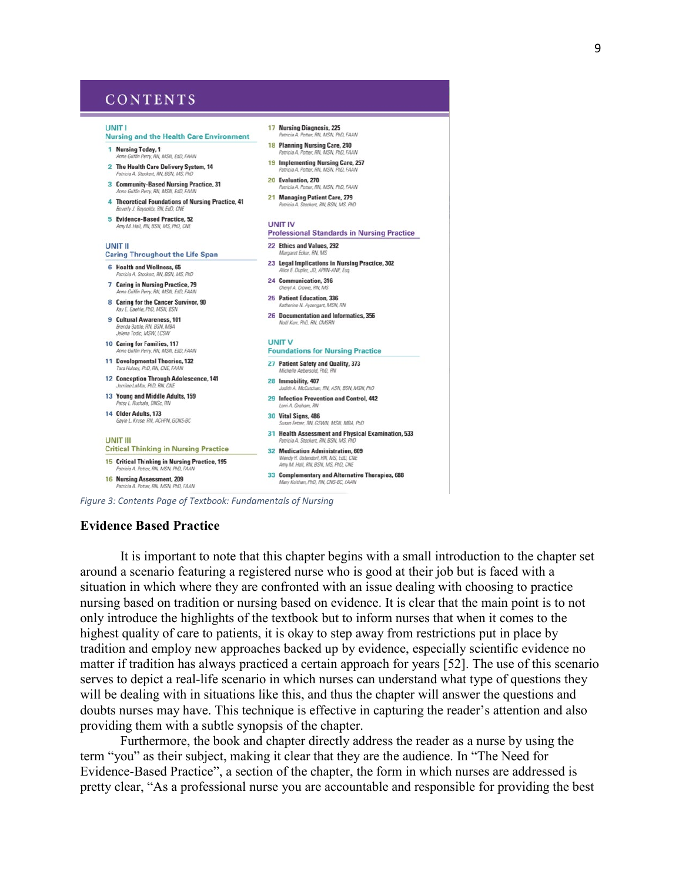### CONTENTS

#### **LINIT I**

#### **Nursing and the Health Care Environment** 18 Planning Nursing Care, 240 1 Nursing Today, 1

- ne Griffin Perry, RN, MSN, EdD, FAAN 2 The Health Care Delivery System, 14
- tricia A. Stockert, RN, BSN, I
- Patricia A. Stockert, RN, BSN, MS, PhD<br>3 Community-Based Nursing Practice, 31<br>Anne Griffin Perry, RN, MSN, EdD, FAAN riffin Perry, RN, MSN, EdD
- Anne Griffin Perry, RN, MSN, EdD, FAAN<br>**4 Theoretical Foundations of Nursing Practice, 41**<br>**4 Theoretical Foundations of Nursing Practice, 41**<br>*Patricia A Stockert, RN, BSN, MS, Pht*<br>*Patricia A Stockert, RN, BSN, MS, Pht* verly J. Reynolds, RN, EdD, CN.
- 5 Evidence-Based Practice, 52
- 
- **LINIT II**
- **Caring Throughout the Life Span** 6 Health and Wellness, 65
- Patricia A. Stockert, RN, BSN, MS, PhD
- 7 Caring in Nursing Practice, 79 ne Griffin Perry, RN, MSN, EdD, FAAN
- 8 Caring for the Cancer Survivor, 90 Kay E. Gaehle, PhD, MSN, BSN
- 9 Cultural Awareness 101 Brenda Battle, RN, BSN, MBA<br>Jelena Todic, MSW, LCSW
- 10 Caring for Families, 117
- iffin Perry, RN, MSN, EdD, FAAN 11 Developmental Theories, 132
- Tara Hulsey, PhD, RN, CNE, FAAN 12 Conception Through Adolescence, 141
- lee LaMar, PhD, Rf
- 13 Young and Middle Adults, 159 atsy L. Ruchala, DNSc, R

14 Older Adults, 173

**UNIT III** 

tricia A.

- 
- Gayle L. Kruse, RN, ACHPN, GCNS-BC
	-

Potter, RN, MSN, PhD, FAAN

.<br>GSWN, MSN, MBA, PhD 31 Health Assessment and Physical Examination, 533 ckert, RN, BSN, M **Critical Thinking in Nursing Practice** 32 Medication Administration, 609

**UNIT V** 

28 Immobility, 407

30 Vital Signs, 486

17 Nursing Diagnosis, 225

**UNIT IV** 

22 Ethics and Values, 292

fargaret Ecker, RN

24 Communication, 316

25 Patient Education, 336

eryl A. Crowe, RN

**Voël Kerr, PhD, RN, CMSRN** 

27 Patient Safety and Quality, 373

19 Implementing Nursing Care, 257

cia A. Potter, RN, MSN. I

ricia A. Potter, RN, MSN, PhD, FAAN

23 Legal Implications in Nursing Practice, 302

26 Documentation and Informatics, 356

**Foundations for Nursing Practice** 

29 Infection Prevention and Control, 442

kert, RN, BSN, MS, PhD

**Professional Standards in Nursing Practice** 

VA N2

tchan, RN, ASN, BSN, MSN, PhD

**HO FAAN** 

FAAN

orf. RN, MS, EdD. **15 Critical Thinking in Nursing Practice, 195** Amy M. Hall, RN, BSN, MS, PhD, CNE tricia A. Potter, RN, MSN, PhD, FA 33 Complementary and Alternative Therapies, 688 16 Nursing Assessment, 209 Mary Koithan, PhD, RN, CNS-BC, FAAN

*Figure 3: Contents Page of Textbook: Fundamentals of Nursing*

#### **Evidence Based Practice**

It is important to note that this chapter begins with a small introduction to the chapter set around a scenario featuring a registered nurse who is good at their job but is faced with a situation in which where they are confronted with an issue dealing with choosing to practice nursing based on tradition or nursing based on evidence. It is clear that the main point is to not only introduce the highlights of the textbook but to inform nurses that when it comes to the highest quality of care to patients, it is okay to step away from restrictions put in place by tradition and employ new approaches backed up by evidence, especially scientific evidence no matter if tradition has always practiced a certain approach for years [52]. The use of this scenario serves to depict a real-life scenario in which nurses can understand what type of questions they will be dealing with in situations like this, and thus the chapter will answer the questions and doubts nurses may have. This technique is effective in capturing the reader's attention and also providing them with a subtle synopsis of the chapter.

Furthermore, the book and chapter directly address the reader as a nurse by using the term "you" as their subject, making it clear that they are the audience. In "The Need for Evidence-Based Practice", a section of the chapter, the form in which nurses are addressed is pretty clear, "As a professional nurse you are accountable and responsible for providing the best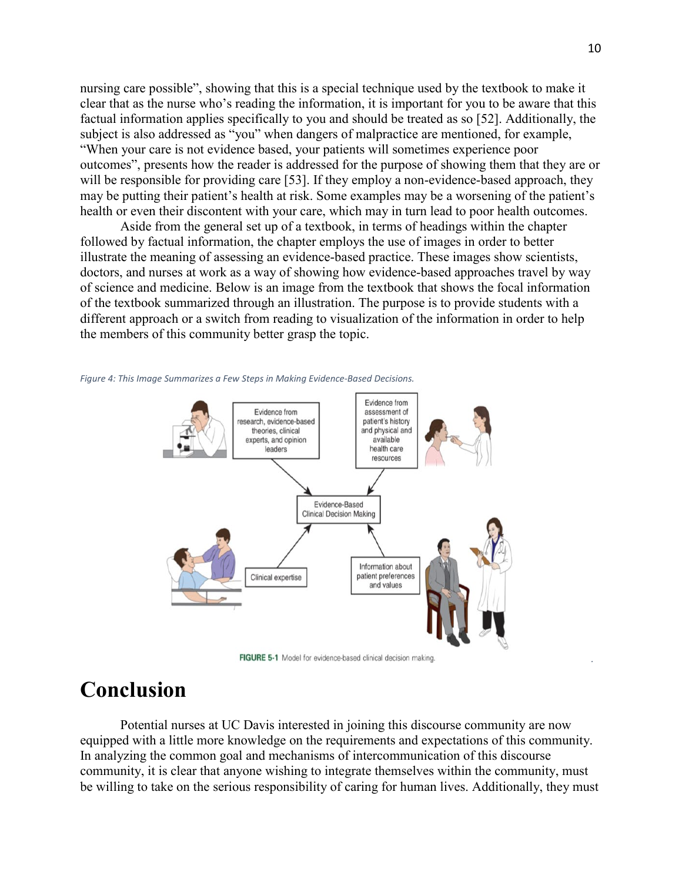nursing care possible", showing that this is a special technique used by the textbook to make it clear that as the nurse who's reading the information, it is important for you to be aware that this factual information applies specifically to you and should be treated as so [52]. Additionally, the subject is also addressed as "you" when dangers of malpractice are mentioned, for example, "When your care is not evidence based, your patients will sometimes experience poor outcomes", presents how the reader is addressed for the purpose of showing them that they are or will be responsible for providing care [53]. If they employ a non-evidence-based approach, they may be putting their patient's health at risk. Some examples may be a worsening of the patient's health or even their discontent with your care, which may in turn lead to poor health outcomes.

Aside from the general set up of a textbook, in terms of headings within the chapter followed by factual information, the chapter employs the use of images in order to better illustrate the meaning of assessing an evidence-based practice. These images show scientists, doctors, and nurses at work as a way of showing how evidence-based approaches travel by way of science and medicine. Below is an image from the textbook that shows the focal information of the textbook summarized through an illustration. The purpose is to provide students with a different approach or a switch from reading to visualization of the information in order to help the members of this community better grasp the topic.





FIGURE 5-1 Model for evidence-based clinical decision making.

## **Conclusion**

Potential nurses at UC Davis interested in joining this discourse community are now equipped with a little more knowledge on the requirements and expectations of this community. In analyzing the common goal and mechanisms of intercommunication of this discourse community, it is clear that anyone wishing to integrate themselves within the community, must be willing to take on the serious responsibility of caring for human lives. Additionally, they must

*.*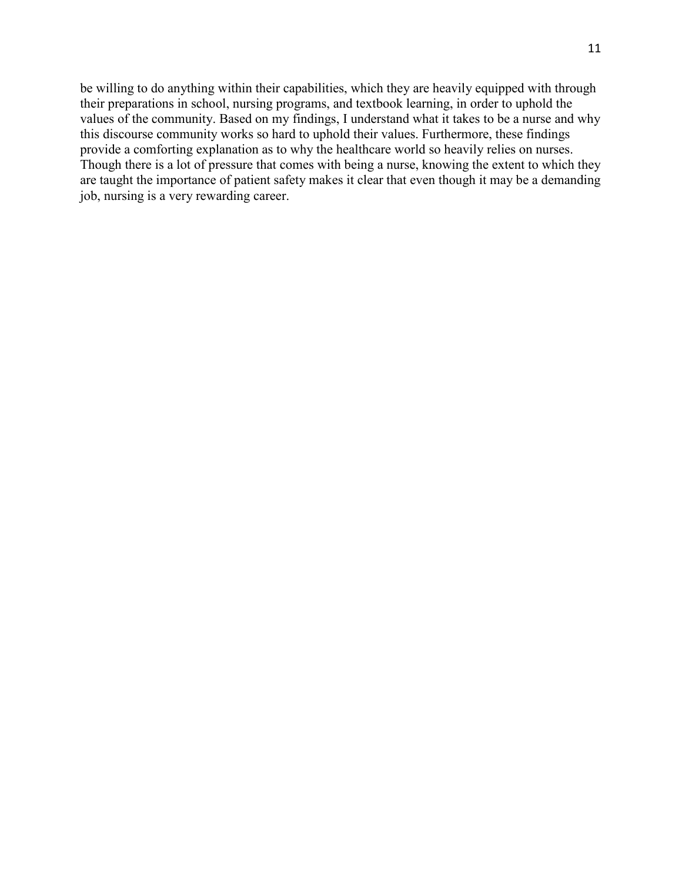be willing to do anything within their capabilities, which they are heavily equipped with through their preparations in school, nursing programs, and textbook learning, in order to uphold the values of the community. Based on my findings, I understand what it takes to be a nurse and why this discourse community works so hard to uphold their values. Furthermore, these findings provide a comforting explanation as to why the healthcare world so heavily relies on nurses. Though there is a lot of pressure that comes with being a nurse, knowing the extent to which they are taught the importance of patient safety makes it clear that even though it may be a demanding job, nursing is a very rewarding career.